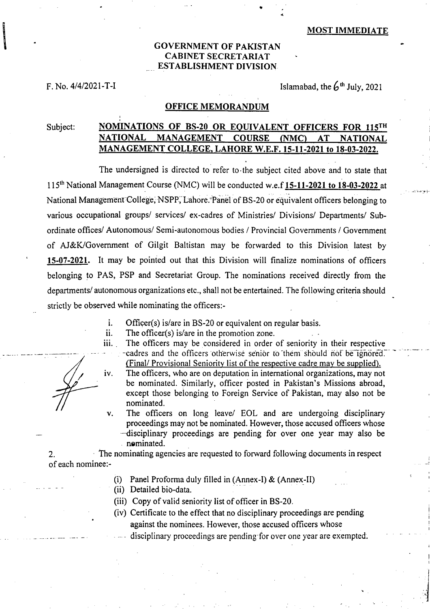### **GOVERNMENT OF PAKISTAN CABINET SECRETARIAT ESTABLISHMENT DIVISION**

**F. No.**  $4/4/2021 - T - I$  Islamabad, the  $6<sup>th</sup>$  July, 2021

### **OFFICE MEMORANDUM**

# Subject: **NOMINATIONS OF BS-20 OR EQUIVALENT OFFICERS FOR 115TH NATIONAL MANAGEMENT COURSE (NMC) AT NATIONAL MANAGEMENT COLLEGE, LAHORE W.E.F. 15-11-2021 to 18-03-2022.**

The undersigned is directed to refer to-the subject cited above and to state that 115<sup>th</sup> National Management Course (NMC) will be conducted w.e.f 15-11-2021 to 18-03-2022 at National Management-College, NSPP, Lahore. Panel of BS-20 or equivalent officers belonging to various occupational groups/ services/ ex-cadres of Ministries/ Divisions/ Departments/ Subordinate offices/ Autonomous/ Semi-autonomous bodies / Provincial Governments / Government of AJ&K/Government of Gilgit Baltistan may be forwarded to this Division latest by **15-07-2021.** It may be pointed out that this Division will finalize nominations of officers belonging to PAS, PSP and Secretariat Group. The nominations received directly from the departments/ autonomous organizations etc., shall not be entertained. The following criteria should strictly be observed while nominating the officers:-

- i. Officer(s) is/are in BS-20 or equivalent on regular basis.
- ii. The officer(s) is/are in the promotion zone.
- iii.. The officers may be considered in order of seniority in their respective -cadres and the officers otherwise senior to them should not be ignored. (Final/ Provisional Seniority list of the respective cadre may be supplied).
- The officers, who are on deputation in international organizations, may not iv. be nominated. Similarly, officer posted in Pakistan's Missions abroad, except those belonging to Foreign Service of Pakistan, may also not be nominated.
- The officers on long leave/ EOL and are undergoing disciplinary  $\mathbf{v}$ . proceedings may not be nominated. However, those accused officers whose —disciplinary proceedings are pending for over one year may also be nominated.

2. The nominating agencies are requested to forward following documents in respect of each nominee:-

- (i) Panel Proforma duly filled in (Annex-I)  $&$  (Annex-II)
- (ii) Detailed bio-data.
- Copy of valid seniority list of officer in BS-20.
- (iv) Certificate to the effect that no disciplinary proceedings are pending against the nominees. However, those accused officers whose
	- disciplinary proceedings are pending- for over one year are exempted.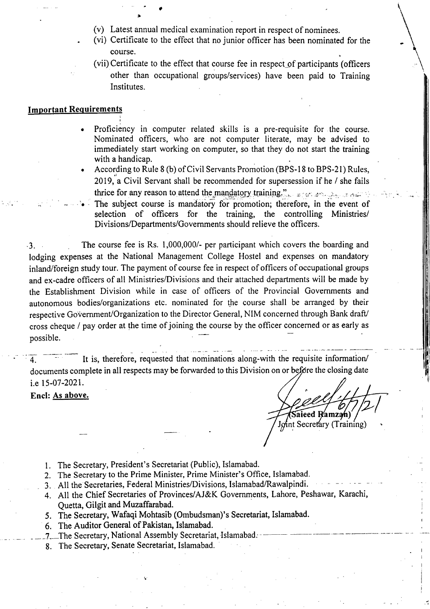Latest annual medical examination report in respect of nominees.

•

**3b** 

- (vi) Certificate to the effect that no junior officer has been nominated for the course.
- (vii) Certificate to the effect that course fee in respect of participants (officers other than occupational groups/services) have been paid to Training Institutes.

### **Important Requirements**

- Proficiency in computer related skills is a pre-requisite for the course. Nominated officers, who are not computer literate, may be advised to immediately start working on computer, so that they do not start the training with a handicap.
- According to Rule 8 (b) of Civil Servants Promotion (BPS-18 to BPS-21) Rules, 2019, a Civil Servant shall be recommended for supersession if he / she fails thrice for any reason to attend the mandatory training.".  $\mathbb{F}_{q}$  and  $\mathbb{F}_{q}$
- The subject course is mandatory for promotion; therefore, in the event of selection of officers for the training, the controlling Ministries/ Divisions/Departments/Governments should relieve the officers.

-3. The course fee is Rs. 1,000,000/- per participant which covers the boarding and lodging expenses at the National Management College Hostel and expenses on mandatory inland/foreign study tour. The payment of course fee in respect of officers of occupational groups and ex-cadre officers of all Ministries/Divisions and their attached departments will be made by the Establishment Division while in case of officers of the Provincial Governments and autonomous bodies/organizations etc. nominated for the course shall be arranged by their respective Government/Organization to the Director General, NIM concerned through Bank draft/ cross cheque / pay order at the time of joining the course by the officer concerned or as early as possible.

4. It is, therefore, requested that nominations along-with the requisite information/ documents complete in all respects may be forwarded to this Division on or before the closing date i.e 15-07-2021.

Encl: As above.

Saieed R<sup>y</sup>amzan) Joint Secretary (Training)

- 1. The Secretary, President's Secretariat (Public), Islamabad.
- The Secretary to the Prime Minister, Prime Minister's Office, Islamabad.
- 3. All the Secretaries, Federal Ministries/Divisions, Islamabad/Rawalpindi.
- All the Chief Secretaries of Provinces/AJ&K Governments, Lahore, Peshawar, Karachi, Quetta, Gilgit and Muzaffarabad.
- The Secretary, Wafaqi Mohtasib (Ombudsman)'s Secretariat, Islamabad.
- The Auditor General of Pakistan, Islamabad.
- The Secretary, National Assembly Secretariat, Islamabad.
- 8. The Secretary, Senate Secretariat, Islamabad.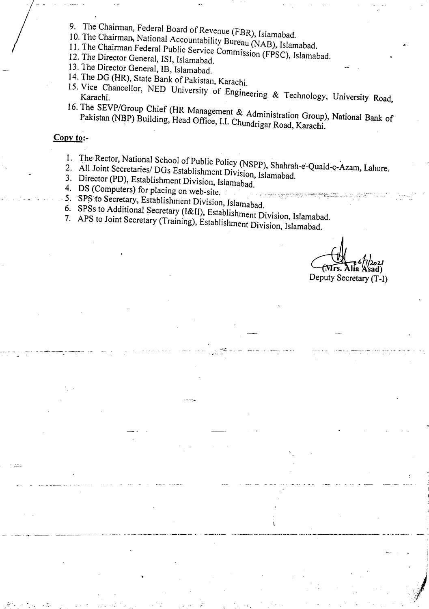- 9. The Chairman, Federal Board of Revenue (FBR), Islamabad.
- 10. The Chairman, National Accountability Bureau (NAB), Islamabad.
- 11. The Chairman Federal Public Service Commission (FPSC), Islamabad.
- 12. The Director General, ISI, Islamabad.
- 13. The Director General, IB, Islamabad.
- 14. The DG (HR), State Bank of Pakistan, Karachi.
- 15. Vice Chancellor, NED University of Engineering & Technology, University Road,
- The SEVP/Group Chief (HR Management *&* Administration Group), National Bank of Pakistan (NBP) Building, Head Office, 1.1. Chundrigar Road, Karachi.

## **Copy to:-**

- 
- 1. The Rector, National School of Public Policy (NSPP), Shahrah-e-Quaid-e-Azam, Lahore. All Joint Secretaries/ DGs Establishment Division, Islamabad.
- 3. Director (PD), Establishment Division, Islamabad.
- DS (Computers) for placing on web-site.
- 5. SPS to Secretary, Establishment Division, Islamabad.
- 
- 6. SPSs to Additional Secretary (I&II), Establishment Division, Islamabad. APS to Joint Secretary (Training), Establishment Division, Islamabad.
	-

rs. Alia Asad) Deputy Secretary (T-I)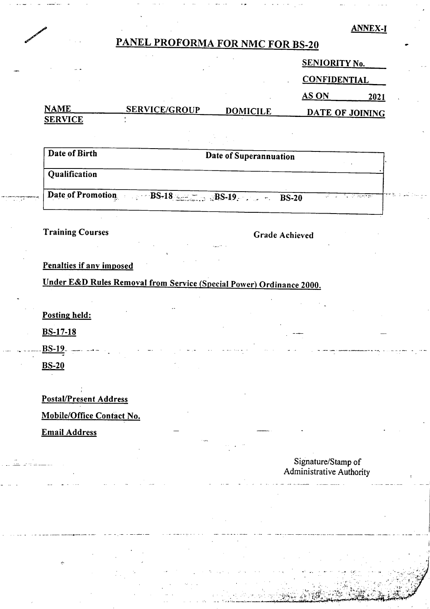### **ANNEX-I**

# **PANEL PROFORMA FOR NMC FOR BS-20**

| $\sim$         |                      |                 | SENIORITY No.       |      |  |
|----------------|----------------------|-----------------|---------------------|------|--|
|                |                      |                 | <b>CONFIDENTIAL</b> |      |  |
|                |                      |                 | AS ON               | 2021 |  |
| <b>NAME</b>    | <b>SERVICE/GROUP</b> | <b>DOMICILE</b> | DATE OF JOINING     |      |  |
| <b>SERVICE</b> |                      |                 |                     |      |  |

**Date of Birth Date of Superannuation** 

# **Qualification**

Date of Promotion. BS-18 BS-19. BS-20

# **Training Courses Courses Achieved Grade Achieved**

# **Penalties if any imposed**

**Under E&D Rules Removal from Service (Special Power) Ordinance 2000.** 

**Posting held:** 

**BS-17-18** 

**BS-19.** 

**BS-20** 

### **Postal/Present Address**

# **Mobile/Office Contact No.**

**Email Address** 

## **Signature/Stamp of Administrative Authority**